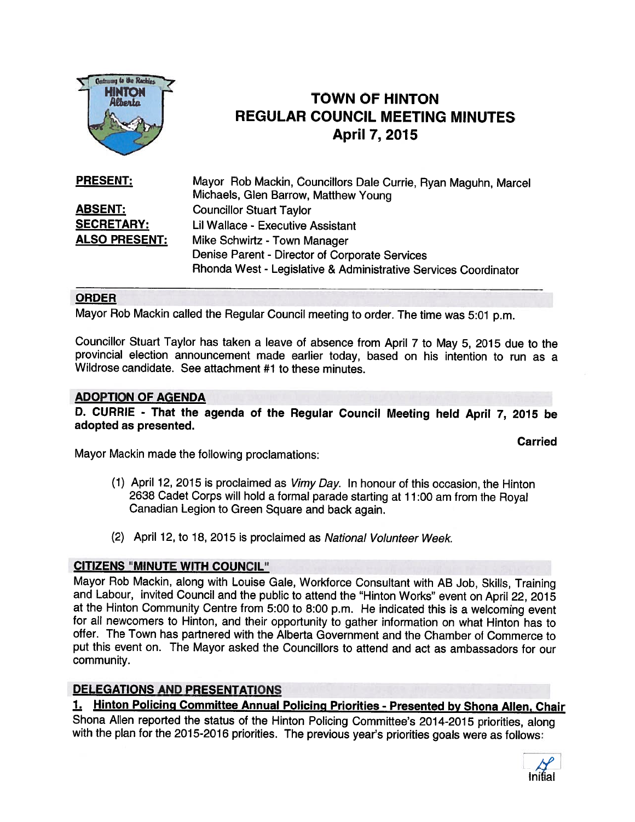

## TOWN OF HINTON REGULAR COUNCIL MEETING MINUTES April 7, 2015

| <b>PRESENT:</b>      | Mayor Rob Mackin, Councillors Dale Currie, Ryan Maguhn, Marcel  |
|----------------------|-----------------------------------------------------------------|
|                      | Michaels, Glen Barrow, Matthew Young                            |
| <b>ABSENT:</b>       | <b>Councillor Stuart Taylor</b>                                 |
| <b>SECRETARY:</b>    | Lil Wallace - Executive Assistant                               |
| <b>ALSO PRESENT:</b> | Mike Schwirtz - Town Manager                                    |
|                      | Denise Parent - Director of Corporate Services                  |
|                      | Rhonda West - Legislative & Administrative Services Coordinator |

### ORDER

Mayor Rob Mackin called the Regular Council meeting to order. The time was 5:01 p.m.

Councillor Stuart Taylor has taken <sup>a</sup> leave of absence from April <sup>7</sup> to May 5, <sup>2015</sup> due to the provincial election announcement made earlier today, based on his intention to run as <sup>a</sup> Wildrose candidate. See attachment #1 to these minutes.

### ADOPTION OF AGENDA

D. CURRIE - That the agenda of the Regular Council Meeting held April 7, <sup>2075</sup> be adopted as presented.

Carried

Mayor Mackin made the following proclamations:

- (1) April 12, <sup>2015</sup> is proclaimed as Vimy Day. In honour of this occasion, the Hinton <sup>2638</sup> Cadet Corps will hold <sup>a</sup> formal parade starting at 11:00 am from the Royal Canadian Legion to Green Square and back again.
- (2) April 12, to 18, 2015 is proclaimed as National Volunteer Week.

### CITIZENS "MINUTE WITH COUNCIL"

Mayor Rob Mackin, along with Louise Gale, Workforce Consultant with AB Job, Skills, Training and Labour, invited Council and the public to attend the "Hinton Works" event on April 22, <sup>2015</sup> at the Hinton Community Centre from 5:00 to 8:00 p.m. He indicated this is <sup>a</sup> welcoming event for all newcomers to Hinton, and their opportunity to gather information on what Hinton has to offer. The Town has partnered with the Alberta Government and the Chamber of Commerce to pu<sup>t</sup> this event on. The Mayor asked the Councillors to attend and act as ambassadors for our community.

### DELEGATIONS AND PRESENTATIONS

1. Hinton Policing Committee Annual Policing Priorities - Presented by Shona Allen, Chair

Shona Allen reported the status of the Hinton Policing Commiffee's 2014-2015 priorities, along with the plan for the 2015-2016 priorities. The previous year's priorities goals were as follows:

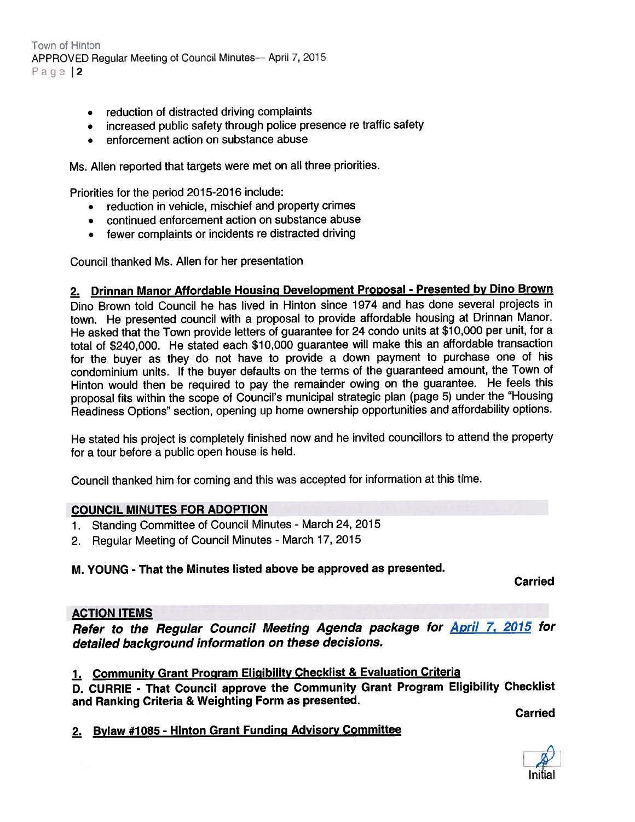Town of Hinton APPROVED Regular Meeting of Council Minutes— April 7, 2015 Page |2

- reduction of distracted driving complaints
- increased public safety through police presence re traffic safety
- enforcement action on substance abuse

Ms. Allen reported that targets were met on all three priorities.

Priorities for the period 2015-2016 include:

- reduction in vehicle, mischief and property crimes
- continued enforcement action on substance abuse
- fewer complaints or incidents re distracted driving

Council thanked Ms. Allen for her presentation

## 2. Drinnan Manor Affordable Housing Development Proposal - Presented by Dino Brown

Dino Brown told Council he has lived in Hinton since 1974 and has done several projects in town. He presented council with <sup>a</sup> proposa<sup>l</sup> to provide affordable housing at Drinnan Manor. He asked that the Town provide letters of guarantee for <sup>24</sup> condo units at \$10,000 per unit, for <sup>a</sup> total of \$240,000. He stated each \$10,000 guarantee will make this an affordable transaction for the buyer as they do not have to provide <sup>a</sup> down paymen<sup>t</sup> to purchase one of his condominium units. If the buyer defaults on the terms of the guaranteed amount, the Town of Hinton would then be required to pay the remainder owing on the guarantee. He feels this proposa<sup>l</sup> fits within the scope of Council's municipal strategic <sup>p</sup>lan (page 5) under the "Housing Readiness Options" section, opening up home ownership opportunities and affordability options.

He stated his project is completely finished now and he invited councillors to attend the property for <sup>a</sup> tour before <sup>a</sup> public open house is held.

Council thanked him for coming and this was accepted for information at this time.

### COUNCIL MINUTES FOR ADOPTION

- 1. Standing Committee of Council Minutes March 24, <sup>2015</sup>
- 2. Regular Meeting of Council Minutes March 17, <sup>2015</sup>

### M. YOUNG - That the Minutes listed above be approved as presented.

Carried

### ACTION ITEMS

Refer to the Regular Council Meeting Agenda package for **April 7, 2015** for detailed background information on these decisions.

## 1. Community Grant Program Eligibility Checklist & Evaluation Criteria

0. CURRIE - That Council approve the Community Grant Program Eligibility Checklist and Ranking Criteria & Weighting Form as presented.

Carried

2. Bylaw #1085 - Hinton Grant Funding Advisory Committee

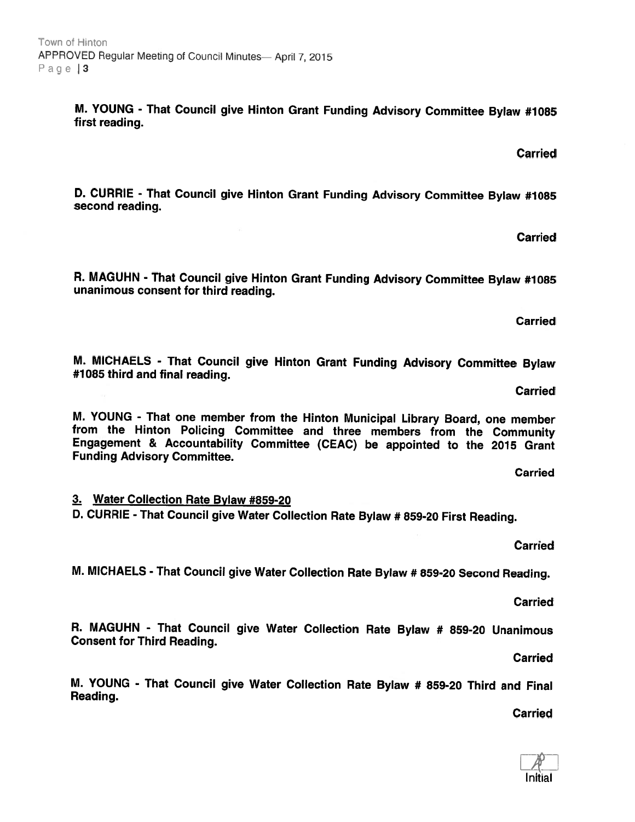M. YOUNG - That Council give Hinton Grant Funding Advisory Committee Bylaw #1085 first reading.

D. CURRIE - That Council give Hinton Grant Funding Advisory Committee Bylaw #1085 second reading.

R. MAGUHN - That Council give Hinton Grant Funding Advisory Committee Bylaw #1085<br>unanimous consent for third reading.

M. MICHAELS - That Council give Hinton Grant Funding Advisory Committee Bylaw #1085 third and final reading.

M. YOUNG - That one member from the Hinton Municipal Library Board, one member<br>from the Hinton Policing Committee and three members from the Community<br>Engagement & Accountability Committee (CEAC) be appointed to the 2015 G Funding Advisory Committee.

**Carried** 3. Water Collection Rate Bylaw #859-20

0. CURRIE - That Council <sup>g</sup>ive Water Collection Rate Bylaw # 859-20 First Reading.

M. MICHAELS - That Council <sup>g</sup>ive Water Collection Rate Bylaw # 859-20 Second Reading.

R. MAGUHN - That Council <sup>g</sup>ive Water Collection Rate Bylaw # 859-20 Unanimous Consent for Third Reading.

M. YOUNG - That Council <sup>g</sup>ive Water Collection Rate Bylaw # 859-20 Third and Final Reading.

Carried

**Carried** 

**Carried** 

Carried

Carried

Carried

**Carried** 

Carried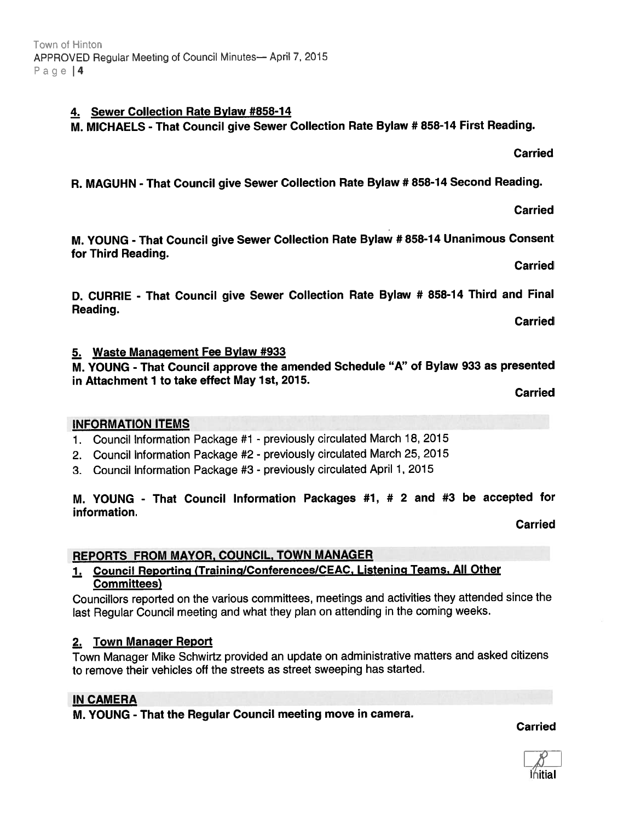ńitia

# Carried

M. YOUNG -That Council <sup>g</sup>ive Sewer Collection Rate Bylaw # 858-7 <sup>4</sup> Unanimous Consent for Third Reading.

0. CURRIE - That Council <sup>g</sup>ive Sewer Collection Rate Bylaw # 858-14 Third and Final Reading.

5. Waste Management Fee Bylaw #933

M. YOUNG - That Council approve the amended Schedule "A" of Bylaw <sup>933</sup> as presented in Attachment 1 to take effect May 1st, 2015.

Carried

### INFORMATION ITEMS

- 1. Council Information Package #1 previously circulated March 18, 2015
- 2. Council Information Package #2 previously circulated March 25, <sup>2015</sup>
- 3. Council Information Package #3 previously circulated April 1, 2015

#### M. YOUNG - That Council Information Packages #1, # <sup>2</sup> and #3 be accepted for information. Carried

REPORTS FROM MAYOR, COUNCIL, TOWN MANAGER

## 1. Council Reporting (Training/Conferences/CEAC, Listening Teams, All Other Committees)

Councillors reported on the various committees, meetings and activities they attended since the last Regular Council meeting and what they <sup>p</sup>lan on attending in the coming weeks.

### 2. Town Manager Report

Town Manager Mike Schwirtz provided an update on administrative matters and asked citizens to remove their vehicles off the streets as street sweeping has started.

### IN CAMERA

M. YOUNG - That the Regular Council meeting move in camera.

Carried

## 4. Sewer Collection Rate Bylaw #858-7 4

M. MICHAELS - That Council <sup>g</sup>ive Sewer Collection Rate Bylaw # 858-14 First Reading.

R. MAGUHN - That Council <sup>g</sup>ive Sewer Collection Rate Bylaw # 858-14 Second Reading.

Carried

**Carried** 

Carried